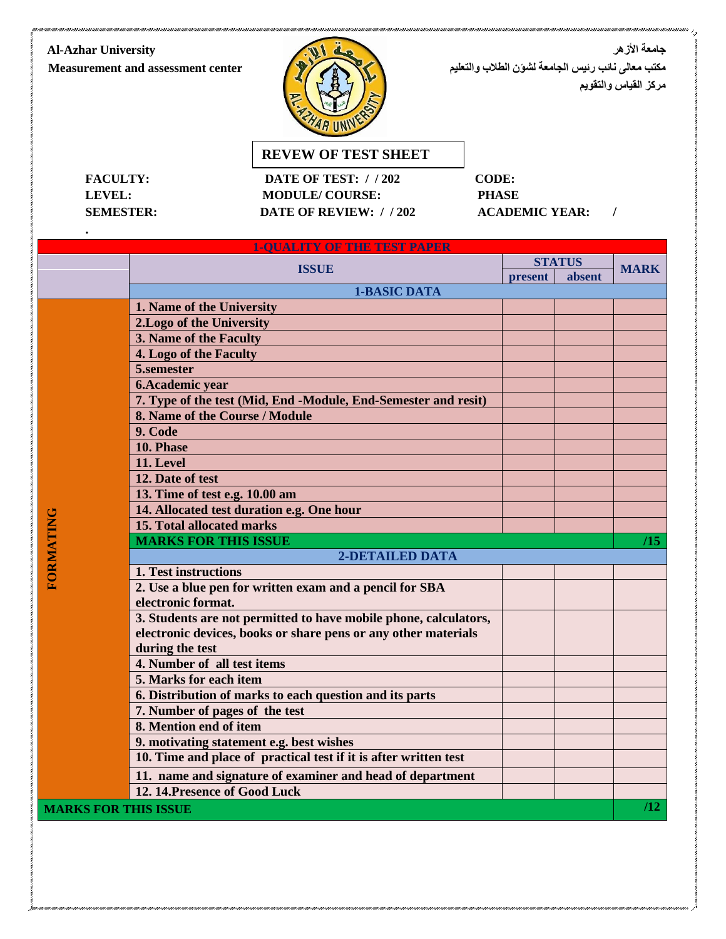#### **Al-Azhar University Measurement and assessment center**



**جامعة األزهر مكتة معالى نائة رئيص الجامعة لشؤن الطالب والتعليم مركس القياش والتقويم**

### **REVEW OF TEST SHEET**

FACULTY: DATE OF TEST: / / 202 CODE: **LEVEL: MODULE/ COURSE: PHASE SEMESTER: DATE OF REVIEW: / / 202 ACADEMIC YEAR: /** 

|                             | <b>1-OUALITY OF THE TEST PAPER</b>                               |               |        |             |  |
|-----------------------------|------------------------------------------------------------------|---------------|--------|-------------|--|
|                             | <b>ISSUE</b>                                                     | <b>STATUS</b> |        |             |  |
|                             |                                                                  | present       | absent | <b>MARK</b> |  |
|                             | <b>1-BASIC DATA</b>                                              |               |        |             |  |
|                             | 1. Name of the University                                        |               |        |             |  |
|                             | 2. Logo of the University                                        |               |        |             |  |
|                             | 3. Name of the Faculty                                           |               |        |             |  |
|                             | 4. Logo of the Faculty                                           |               |        |             |  |
|                             | 5.semester                                                       |               |        |             |  |
|                             | <b>6.Academic year</b>                                           |               |        |             |  |
|                             | 7. Type of the test (Mid, End -Module, End-Semester and resit)   |               |        |             |  |
|                             | 8. Name of the Course / Module                                   |               |        |             |  |
|                             | 9. Code                                                          |               |        |             |  |
|                             | 10. Phase                                                        |               |        |             |  |
|                             | 11. Level                                                        |               |        |             |  |
|                             | 12. Date of test                                                 |               |        |             |  |
|                             | 13. Time of test e.g. 10.00 am                                   |               |        |             |  |
|                             | 14. Allocated test duration e.g. One hour                        |               |        |             |  |
|                             | 15. Total allocated marks                                        |               |        |             |  |
|                             | <b>MARKS FOR THIS ISSUE</b>                                      |               |        | /15         |  |
|                             | <b>2-DETAILED DATA</b>                                           |               |        |             |  |
| <b>FORMATING</b>            | 1. Test instructions                                             |               |        |             |  |
|                             | 2. Use a blue pen for written exam and a pencil for SBA          |               |        |             |  |
|                             | electronic format.                                               |               |        |             |  |
|                             | 3. Students are not permitted to have mobile phone, calculators, |               |        |             |  |
|                             | electronic devices, books or share pens or any other materials   |               |        |             |  |
|                             | during the test                                                  |               |        |             |  |
|                             | 4. Number of all test items                                      |               |        |             |  |
|                             | 5. Marks for each item                                           |               |        |             |  |
|                             | 6. Distribution of marks to each question and its parts          |               |        |             |  |
|                             | 7. Number of pages of the test                                   |               |        |             |  |
|                             | 8. Mention end of item                                           |               |        |             |  |
|                             | 9. motivating statement e.g. best wishes                         |               |        |             |  |
|                             | 10. Time and place of practical test if it is after written test |               |        |             |  |
|                             | 11. name and signature of examiner and head of department        |               |        |             |  |
|                             | 12. 14. Presence of Good Luck                                    |               |        |             |  |
|                             |                                                                  |               |        |             |  |
| <b>MARKS FOR THIS ISSUE</b> |                                                                  |               |        | /12         |  |

**.**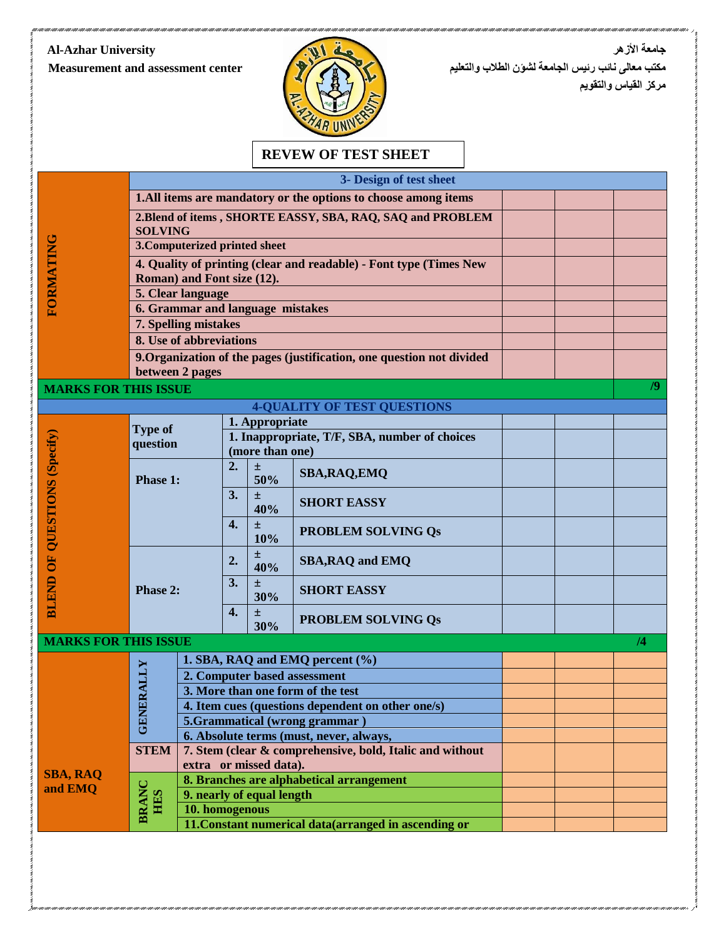# **Al-Azhar University**

**Measurement and assessment center**



**جامعة األزهر مكتة معالى نائة رئيص الجامعة لشؤن الطالب والتعليم مركس القياش والتقويم**

## **REVEW OF TEST SHEET**

|                                     | 3- Design of test sheet                                                      |                                                                                          |                                                                  |              |                                    |  |  |    |  |  |
|-------------------------------------|------------------------------------------------------------------------------|------------------------------------------------------------------------------------------|------------------------------------------------------------------|--------------|------------------------------------|--|--|----|--|--|
|                                     | 1.All items are mandatory or the options to choose among items               |                                                                                          |                                                                  |              |                                    |  |  |    |  |  |
|                                     | 2. Blend of items, SHORTE EASSY, SBA, RAQ, SAQ and PROBLEM<br><b>SOLVING</b> |                                                                                          |                                                                  |              |                                    |  |  |    |  |  |
|                                     |                                                                              | 3. Computerized printed sheet                                                            |                                                                  |              |                                    |  |  |    |  |  |
|                                     |                                                                              | 4. Quality of printing (clear and readable) - Font type (Times New                       |                                                                  |              |                                    |  |  |    |  |  |
| <b>FORMATING</b>                    |                                                                              | Roman) and Font size (12).                                                               |                                                                  |              |                                    |  |  |    |  |  |
|                                     |                                                                              | 5. Clear language                                                                        |                                                                  |              |                                    |  |  |    |  |  |
|                                     |                                                                              | <b>6. Grammar and language mistakes</b>                                                  |                                                                  |              |                                    |  |  |    |  |  |
|                                     |                                                                              | 7. Spelling mistakes<br>8. Use of abbreviations                                          |                                                                  |              |                                    |  |  |    |  |  |
|                                     |                                                                              |                                                                                          |                                                                  |              |                                    |  |  |    |  |  |
|                                     |                                                                              | 9. Organization of the pages (justification, one question not divided<br>between 2 pages |                                                                  |              |                                    |  |  |    |  |  |
| <b>MARKS FOR THIS ISSUE</b>         |                                                                              |                                                                                          |                                                                  |              |                                    |  |  | /9 |  |  |
|                                     |                                                                              |                                                                                          |                                                                  |              |                                    |  |  |    |  |  |
|                                     |                                                                              |                                                                                          |                                                                  |              | <b>4-QUALITY OF TEST QUESTIONS</b> |  |  |    |  |  |
|                                     | <b>Type of</b>                                                               |                                                                                          | 1. Appropriate                                                   |              |                                    |  |  |    |  |  |
|                                     | question                                                                     |                                                                                          | 1. Inappropriate, T/F, SBA, number of choices<br>(more than one) |              |                                    |  |  |    |  |  |
|                                     |                                                                              |                                                                                          | 2.                                                               | $\pm$        |                                    |  |  |    |  |  |
|                                     | Phase 1:                                                                     |                                                                                          | 50%                                                              |              | SBA, RAQ, EMQ                      |  |  |    |  |  |
|                                     |                                                                              |                                                                                          | 3.                                                               | $\pm$<br>40% | <b>SHORT EASSY</b>                 |  |  |    |  |  |
|                                     |                                                                              |                                                                                          | $\overline{4}$ .                                                 | $\pm$<br>10% | <b>PROBLEM SOLVING Qs</b>          |  |  |    |  |  |
|                                     | Phase 2:                                                                     |                                                                                          | 2.                                                               | 土<br>40%     | <b>SBA, RAQ and EMQ</b>            |  |  |    |  |  |
| <b>BLEND OF QUESTIONS (Specify)</b> |                                                                              |                                                                                          | 3.                                                               | $\pm$<br>30% | <b>SHORT EASSY</b>                 |  |  |    |  |  |
|                                     |                                                                              |                                                                                          | $\overline{4}$ .                                                 | 士<br>30%     | <b>PROBLEM SOLVING Qs</b>          |  |  |    |  |  |
| <b>MARKS FOR THIS ISSUE</b>         |                                                                              |                                                                                          |                                                                  |              |                                    |  |  | /4 |  |  |
|                                     | <b>ALLY</b><br>GENEI                                                         |                                                                                          |                                                                  |              | 1. SBA, RAQ and EMQ percent (%)    |  |  |    |  |  |
|                                     |                                                                              | 2. Computer based assessment                                                             |                                                                  |              |                                    |  |  |    |  |  |
|                                     |                                                                              | 3. More than one form of the test                                                        |                                                                  |              |                                    |  |  |    |  |  |
|                                     |                                                                              | 4. Item cues (questions dependent on other one/s)                                        |                                                                  |              |                                    |  |  |    |  |  |
|                                     |                                                                              | 5. Grammatical (wrong grammar)                                                           |                                                                  |              |                                    |  |  |    |  |  |
|                                     |                                                                              | 6. Absolute terms (must, never, always,                                                  |                                                                  |              |                                    |  |  |    |  |  |
|                                     | <b>STEM</b>                                                                  | 7. Stem (clear & comprehensive, bold, Italic and without                                 |                                                                  |              |                                    |  |  |    |  |  |
| <b>SBA, RAQ</b>                     |                                                                              | extra or missed data).                                                                   |                                                                  |              |                                    |  |  |    |  |  |
| and EMQ                             | <b>BRANC</b><br>HES                                                          | 8. Branches are alphabetical arrangement                                                 |                                                                  |              |                                    |  |  |    |  |  |
|                                     |                                                                              | 9. nearly of equal length<br>10. homogenous                                              |                                                                  |              |                                    |  |  |    |  |  |
|                                     |                                                                              | 11. Constant numerical data(arranged in ascending or                                     |                                                                  |              |                                    |  |  |    |  |  |
|                                     |                                                                              |                                                                                          |                                                                  |              |                                    |  |  |    |  |  |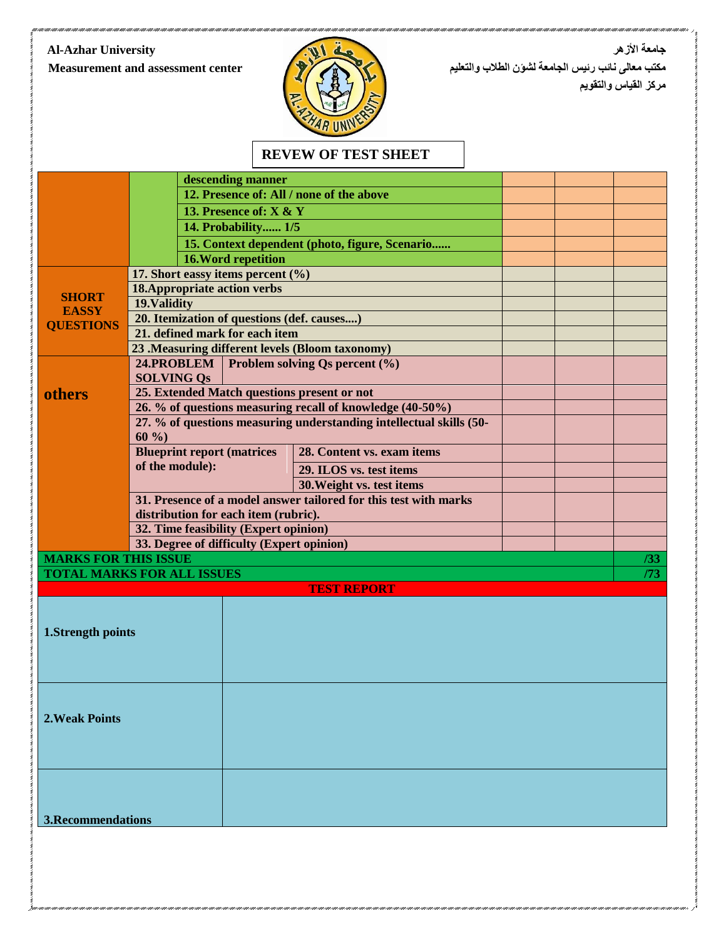## **Al-Azhar University**

**Measurement and assessment center**



**مكتة معالى نائة رئيص الجامعة لشؤن الطالب والتعليم مركس القياش والتقويم**

**جامعة األزهر**

## **REVEW OF TEST SHEET**

|                                   |                   |                                                                              | descending manner                               |                                                                     |  |  |     |  |
|-----------------------------------|-------------------|------------------------------------------------------------------------------|-------------------------------------------------|---------------------------------------------------------------------|--|--|-----|--|
|                                   |                   |                                                                              |                                                 | 12. Presence of: All / none of the above                            |  |  |     |  |
|                                   |                   |                                                                              | 13. Presence of: X & Y                          |                                                                     |  |  |     |  |
|                                   |                   |                                                                              | 14. Probability 1/5                             |                                                                     |  |  |     |  |
|                                   |                   |                                                                              |                                                 |                                                                     |  |  |     |  |
|                                   |                   | 15. Context dependent (photo, figure, Scenario<br><b>16. Word repetition</b> |                                                 |                                                                     |  |  |     |  |
|                                   |                   |                                                                              | 17. Short eassy items percent $(\% )$           |                                                                     |  |  |     |  |
|                                   |                   |                                                                              | <b>18. Appropriate action verbs</b>             |                                                                     |  |  |     |  |
| <b>SHORT</b>                      | 19. Validity      |                                                                              |                                                 |                                                                     |  |  |     |  |
| <b>EASSY</b>                      |                   |                                                                              |                                                 |                                                                     |  |  |     |  |
| <b>QUESTIONS</b>                  |                   | 20. Itemization of questions (def. causes)<br>21. defined mark for each item |                                                 |                                                                     |  |  |     |  |
|                                   |                   |                                                                              | 23 .Measuring different levels (Bloom taxonomy) |                                                                     |  |  |     |  |
|                                   |                   | 24.PROBLEM                                                                   |                                                 | Problem solving Qs percent (%)                                      |  |  |     |  |
|                                   | <b>SOLVING Qs</b> |                                                                              |                                                 |                                                                     |  |  |     |  |
| others                            |                   |                                                                              |                                                 | 25. Extended Match questions present or not                         |  |  |     |  |
|                                   |                   |                                                                              |                                                 | 26. % of questions measuring recall of knowledge (40-50%)           |  |  |     |  |
|                                   |                   |                                                                              |                                                 | 27. % of questions measuring understanding intellectual skills (50- |  |  |     |  |
|                                   | $60\%$            |                                                                              |                                                 |                                                                     |  |  |     |  |
|                                   |                   |                                                                              | <b>Blueprint report (matrices)</b>              | 28. Content vs. exam items                                          |  |  |     |  |
|                                   | of the module):   |                                                                              |                                                 | 29. ILOS vs. test items                                             |  |  |     |  |
|                                   |                   |                                                                              |                                                 | 30. Weight vs. test items                                           |  |  |     |  |
|                                   |                   |                                                                              |                                                 | 31. Presence of a model answer tailored for this test with marks    |  |  |     |  |
|                                   |                   |                                                                              |                                                 | distribution for each item (rubric).                                |  |  |     |  |
|                                   |                   |                                                                              |                                                 |                                                                     |  |  |     |  |
|                                   |                   |                                                                              | 32. Time feasibility (Expert opinion)           |                                                                     |  |  |     |  |
|                                   |                   |                                                                              | 33. Degree of difficulty (Expert opinion)       |                                                                     |  |  |     |  |
| <b>MARKS FOR THIS ISSUE</b>       |                   |                                                                              |                                                 |                                                                     |  |  | /33 |  |
| <b>TOTAL MARKS FOR ALL ISSUES</b> |                   |                                                                              |                                                 |                                                                     |  |  | /73 |  |
|                                   |                   |                                                                              |                                                 | <b>TEST REPORT</b>                                                  |  |  |     |  |
|                                   |                   |                                                                              |                                                 |                                                                     |  |  |     |  |
|                                   |                   |                                                                              |                                                 |                                                                     |  |  |     |  |
| 1.Strength points                 |                   |                                                                              |                                                 |                                                                     |  |  |     |  |
|                                   |                   |                                                                              |                                                 |                                                                     |  |  |     |  |
|                                   |                   |                                                                              |                                                 |                                                                     |  |  |     |  |
|                                   |                   |                                                                              |                                                 |                                                                     |  |  |     |  |
|                                   |                   |                                                                              |                                                 |                                                                     |  |  |     |  |
|                                   |                   |                                                                              |                                                 |                                                                     |  |  |     |  |
| <b>2. Weak Points</b>             |                   |                                                                              |                                                 |                                                                     |  |  |     |  |
|                                   |                   |                                                                              |                                                 |                                                                     |  |  |     |  |
|                                   |                   |                                                                              |                                                 |                                                                     |  |  |     |  |
|                                   |                   |                                                                              |                                                 |                                                                     |  |  |     |  |
|                                   |                   |                                                                              |                                                 |                                                                     |  |  |     |  |
|                                   |                   |                                                                              |                                                 |                                                                     |  |  |     |  |
| 3. Recommendations                |                   |                                                                              |                                                 |                                                                     |  |  |     |  |
|                                   |                   |                                                                              |                                                 |                                                                     |  |  |     |  |
|                                   |                   |                                                                              |                                                 |                                                                     |  |  |     |  |